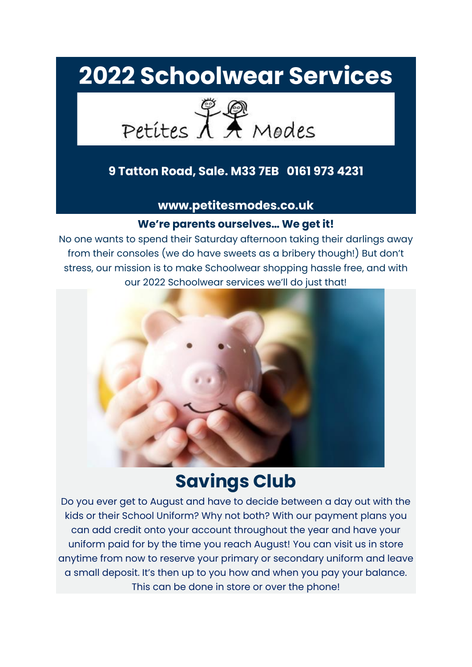# **2022 Schoolwear Services**



#### **9 Tatton Road, Sale. M33 7EB 0161 973 4231**

**www.petitesmodes.co.uk**

#### **We're parents ourselves… We get it!**

No one wants to spend their Saturday afternoon taking their darlings away from their consoles (we do have sweets as a bribery though!) But don't stress, our mission is to make Schoolwear shopping hassle free, and with our 2022 Schoolwear services we'll do just that!



### **Savings Club**

Do you ever get to August and have to decide between a day out with the kids or their School Uniform? Why not both? With our payment plans you can add credit onto your account throughout the year and have your uniform paid for by the time you reach August! You can visit us in store anytime from now to reserve your primary or secondary uniform and leave a small deposit. It's then up to you how and when you pay your balance. This can be done in store or over the phone!